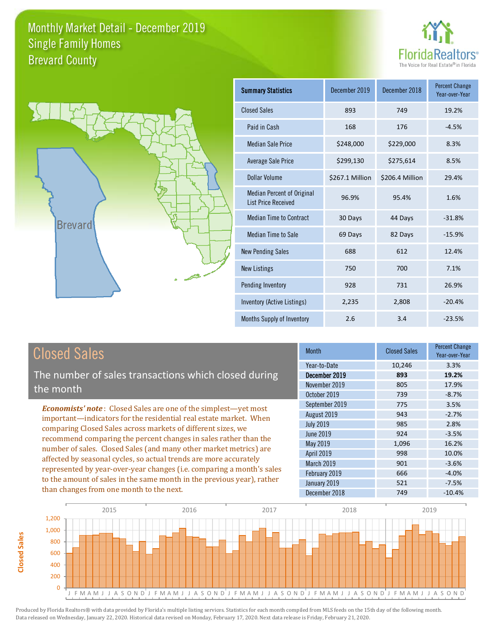



| <b>Summary Statistics</b>                                       | December 2019   | December 2018   | <b>Percent Change</b><br>Year-over-Year |
|-----------------------------------------------------------------|-----------------|-----------------|-----------------------------------------|
| <b>Closed Sales</b>                                             | 893             | 749             | 19.2%                                   |
| Paid in Cash                                                    | 168             | 176             | $-4.5%$                                 |
| <b>Median Sale Price</b>                                        | \$248,000       | \$229,000       | 8.3%                                    |
| <b>Average Sale Price</b>                                       | \$299,130       | \$275,614       | 8.5%                                    |
| Dollar Volume                                                   | \$267.1 Million | \$206.4 Million | 29.4%                                   |
| <b>Median Percent of Original</b><br><b>List Price Received</b> | 96.9%           | 95.4%           | 1.6%                                    |
| <b>Median Time to Contract</b>                                  | 30 Days         | 44 Days         | $-31.8%$                                |
| Median Time to Sale                                             | 69 Days         | 82 Days         | $-15.9%$                                |
| <b>New Pending Sales</b>                                        | 688             | 612             | 12.4%                                   |
| <b>New Listings</b>                                             | 750             | 700             | 7.1%                                    |
| Pending Inventory                                               | 928             | 731             | 26.9%                                   |
| Inventory (Active Listings)                                     | 2,235           | 2,808           | $-20.4%$                                |
| Months Supply of Inventory                                      | 2.6             | 3.4             | $-23.5%$                                |

The number of sales transactions which closed during the month

*Economists' note* : Closed Sales are one of the simplest—yet most important—indicators for the residential real estate market. When comparing Closed Sales across markets of different sizes, we recommend comparing the percent changes in sales rather than the number of sales. Closed Sales (and many other market metrics) are affected by seasonal cycles, so actual trends are more accurately represented by year-over-year changes (i.e. comparing a month's sales to the amount of sales in the same month in the previous year), rather than changes from one month to the next.

| <b>Month</b>      | <b>Closed Sales</b> | <b>Percent Change</b><br>Year-over-Year |
|-------------------|---------------------|-----------------------------------------|
| Year-to-Date      | 10,246              | 3.3%                                    |
| December 2019     | 893                 | 19.2%                                   |
| November 2019     | 805                 | 17.9%                                   |
| October 2019      | 739                 | $-8.7%$                                 |
| September 2019    | 775                 | 3.5%                                    |
| August 2019       | 943                 | $-2.7%$                                 |
| <b>July 2019</b>  | 985                 | 2.8%                                    |
| <b>June 2019</b>  | 924                 | $-3.5%$                                 |
| May 2019          | 1,096               | 16.2%                                   |
| <b>April 2019</b> | 998                 | 10.0%                                   |
| March 2019        | 901                 | $-3.6%$                                 |
| February 2019     | 666                 | $-4.0%$                                 |
| January 2019      | 521                 | $-7.5%$                                 |
| December 2018     | 749                 | $-10.4%$                                |

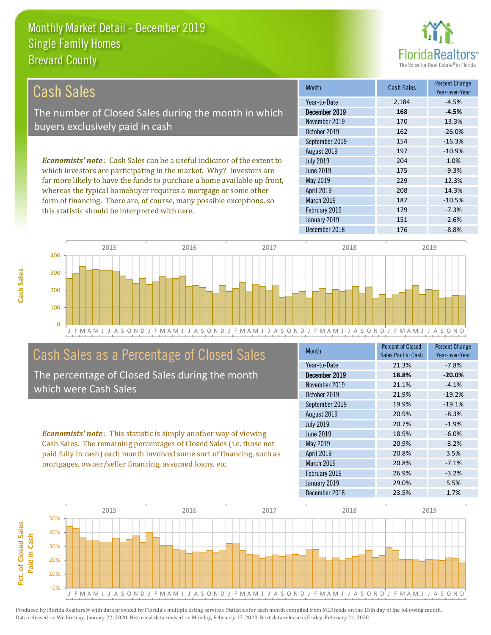this statistic should be interpreted with care.



179 -7.3%

| Cash Sales                                                                     | <b>Month</b>      | <b>Cash Sales</b> | <b>Percent Change</b><br>Year-over-Year |
|--------------------------------------------------------------------------------|-------------------|-------------------|-----------------------------------------|
|                                                                                | Year-to-Date      | 2.184             | $-4.5%$                                 |
| The number of Closed Sales during the month in which                           | December 2019     | 168               | $-4.5%$                                 |
| buyers exclusively paid in cash                                                | November 2019     | 170               | 13.3%                                   |
|                                                                                | October 2019      | 162               | $-26.0%$                                |
|                                                                                | September 2019    | 154               | $-16.3%$                                |
|                                                                                | August 2019       | 197               | $-10.9%$                                |
| <b>Economists' note:</b> Cash Sales can be a useful indicator of the extent to | <b>July 2019</b>  | 204               | 1.0%                                    |
| which investors are participating in the market. Why? Investors are            | June 2019         | 175               | $-9.3%$                                 |
| far more likely to have the funds to purchase a home available up front,       | May 2019          | 229               | 12.3%                                   |
| whereas the typical homebuyer requires a mortgage or some other                | <b>April 2019</b> | 208               | 14.3%                                   |
| form of financing. There are, of course, many possible exceptions, so          | <b>March 2019</b> | 187               | $-10.5%$                                |

J F M A M J J A S O N D J F M A M J J A S O N D J F M A M J J A S O N D J F M A M J J A S O N D J F M A M J J A S O N D 0 100 200 300 400 2015 2016 2017 2018 2019

# Cash Sales as a Percentage of Closed Sales

The percentage of Closed Sales during the month which were Cash Sales

*Economists' note* : This statistic is simply another way of viewing Cash Sales. The remaining percentages of Closed Sales (i.e. those not paid fully in cash) each month involved some sort of financing, such as mortgages, owner/seller financing, assumed loans, etc.

| <b>Month</b>     | <b>Percent of Closed</b><br>Sales Paid in Cash | <b>Percent Change</b><br>Year-over-Year |
|------------------|------------------------------------------------|-----------------------------------------|
| Year-to-Date     | 21.3%                                          | $-7.8%$                                 |
| December 2019    | 18.8%                                          | $-20.0%$                                |
| November 2019    | 21.1%                                          | $-4.1%$                                 |
| October 2019     | 21.9%                                          | $-19.2%$                                |
| September 2019   | 19.9%                                          | $-19.1%$                                |
| August 2019      | 20.9%                                          | $-8.3%$                                 |
| <b>July 2019</b> | 20.7%                                          | $-1.9%$                                 |
| June 2019        | 18.9%                                          | $-6.0%$                                 |
| May 2019         | 20.9%                                          | $-3.2%$                                 |
| April 2019       | 20.8%                                          | 3.5%                                    |
| March 2019       | 20.8%                                          | $-7.1%$                                 |
| February 2019    | 26.9%                                          | $-3.2%$                                 |
| January 2019     | 29.0%                                          | 5.5%                                    |
| December 2018    | 23.5%                                          | 1.7%                                    |

December 2018 176 -8.8%

January 2019 151 -2.6%

February 2019

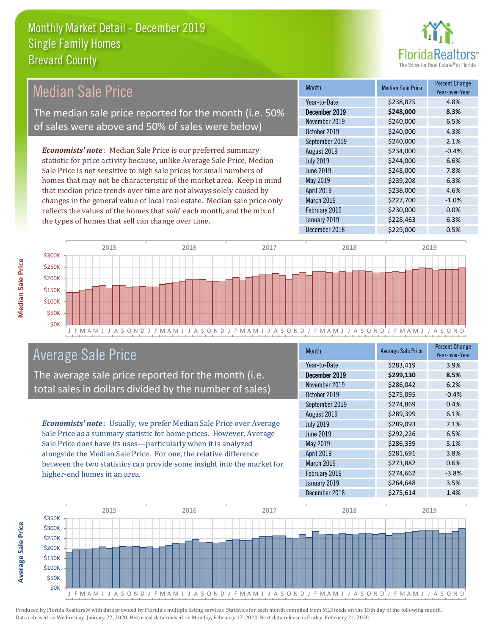

#### Month Median Sale Price Percent Change Year-over-Year December 2019 **\$248,000 8.3%** Year-to-Date \$238,875 4.8% May 2019 **\$239,208** 6.3% November 2019 **\$240,000** 6.5% October 2019 **\$240,000** \$240,000 4.3% July 2019 **\$244,000 6.6%** June 2019 **\$248,000 7.8%** September 2019 \$240,000 \$2.1% August 2019 **\$234,000** -0.4% April 2019 **\$238,000** \$238,000 4.6% March 2019 **\$227,700** -1.0% February 2019 **\$230,000** \$230,000 0.0% January 2019 **\$228,463** 6.3% December 2018 **\$229,000 0.5%** *Economists' note* : Median Sale Price is our preferred summary statistic for price activity because, unlike Average Sale Price, Median Sale Price is not sensitive to high sale prices for small numbers of homes that may not be characteristic of the market area. Keep in mind that median price trends over time are not always solely caused by changes in the general value of local real estate. Median sale price only reflects the values of the homes that *sold* each month, and the mix of the types of homes that sell can change over time. Median Sale Price The median sale price reported for the month (i.e. 50% of sales were above and 50% of sales were below)



### Average Sale Price

The average sale price reported for the month (i.e. total sales in dollars divided by the number of sales)

*Economists' note* : Usually, we prefer Median Sale Price over Average Sale Price as a summary statistic for home prices. However, Average Sale Price does have its uses—particularly when it is analyzed alongside the Median Sale Price. For one, the relative difference between the two statistics can provide some insight into the market for higher-end homes in an area.

| Month            | <b>Average Sale Price</b> | <b>Percent Change</b><br>Year-over-Year |
|------------------|---------------------------|-----------------------------------------|
| Year-to-Date     | \$283,419                 | 3.9%                                    |
| December 2019    | \$299,130                 | 8.5%                                    |
| November 2019    | \$286,042                 | 6.2%                                    |
| October 2019     | \$275,095                 | $-0.4%$                                 |
| September 2019   | \$274,869                 | 0.4%                                    |
| August 2019      | \$289,399                 | 6.1%                                    |
| <b>July 2019</b> | \$289,093                 | 7.1%                                    |
| <b>June 2019</b> | \$292,226                 | 6.5%                                    |
| May 2019         | \$286,339                 | 5.1%                                    |
| April 2019       | \$281,691                 | 3.8%                                    |
| March 2019       | \$273,882                 | 0.6%                                    |
| February 2019    | \$274,662                 | $-3.8%$                                 |
| January 2019     | \$264,648                 | 3.5%                                    |
| December 2018    | \$275,614                 | 1.4%                                    |



Produced by Florida Realtors® with data provided by Florida's multiple listing services. Statistics for each month compiled from MLS feeds on the 15th day of the following month. Data released on Wednesday, January 22, 2020. Historical data revised on Monday, February 17, 2020. Next data release is Friday, February 21, 2020.

**Average Sale Price**

**Average Sale Price**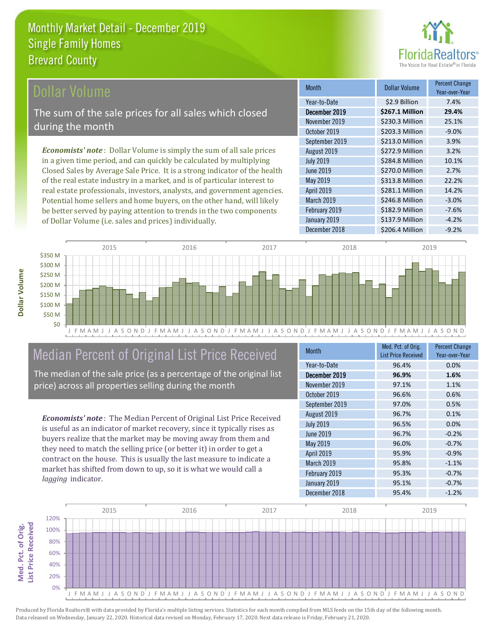

### ollar Volume

The sum of the sale prices for all sales which closed during the month

*Economists' note* : Dollar Volume is simply the sum of all sale prices in a given time period, and can quickly be calculated by multiplying Closed Sales by Average Sale Price. It is a strong indicator of the health of the real estate industry in a market, and is of particular interest to real estate professionals, investors, analysts, and government agencies. Potential home sellers and home buyers, on the other hand, will likely be better served by paying attention to trends in the two components of Dollar Volume (i.e. sales and prices) individually.

| <b>Month</b>      | Dollar Volume   | <b>Percent Change</b><br>Year-over-Year |
|-------------------|-----------------|-----------------------------------------|
| Year-to-Date      | \$2.9 Billion   | 7.4%                                    |
| December 2019     | \$267.1 Million | 29.4%                                   |
| November 2019     | \$230.3 Million | 25.1%                                   |
| October 2019      | \$203.3 Million | $-9.0%$                                 |
| September 2019    | \$213.0 Million | 3.9%                                    |
| August 2019       | \$272.9 Million | 3.2%                                    |
| <b>July 2019</b>  | \$284.8 Million | 10.1%                                   |
| June 2019         | \$270.0 Million | 2.7%                                    |
| May 2019          | \$313.8 Million | 22.2%                                   |
| April 2019        | \$281.1 Million | 14.2%                                   |
| <b>March 2019</b> | \$246.8 Million | $-3.0%$                                 |
| February 2019     | \$182.9 Million | $-7.6%$                                 |
| January 2019      | \$137.9 Million | $-4.2%$                                 |
| December 2018     | \$206.4 Million | $-9.2%$                                 |



# Median Percent of Original List Price Received

The median of the sale price (as a percentage of the original list price) across all properties selling during the month

*Economists' note* : The Median Percent of Original List Price Received is useful as an indicator of market recovery, since it typically rises as buyers realize that the market may be moving away from them and they need to match the selling price (or better it) in order to get a contract on the house. This is usually the last measure to indicate a market has shifted from down to up, so it is what we would call a *lagging* indicator.

| <b>Month</b>     | Med. Pct. of Orig.<br><b>List Price Received</b> | <b>Percent Change</b><br>Year-over-Year |
|------------------|--------------------------------------------------|-----------------------------------------|
| Year-to-Date     | 96.4%                                            | 0.0%                                    |
| December 2019    | 96.9%                                            | 1.6%                                    |
| November 2019    | 97.1%                                            | 1.1%                                    |
| October 2019     | 96.6%                                            | 0.6%                                    |
| September 2019   | 97.0%                                            | 0.5%                                    |
| August 2019      | 96.7%                                            | 0.1%                                    |
| <b>July 2019</b> | 96.5%                                            | 0.0%                                    |
| <b>June 2019</b> | 96.7%                                            | $-0.2%$                                 |
| May 2019         | 96.0%                                            | $-0.7%$                                 |
| April 2019       | 95.9%                                            | $-0.9%$                                 |
| March 2019       | 95.8%                                            | $-1.1%$                                 |
| February 2019    | 95.3%                                            | $-0.7%$                                 |
| January 2019     | 95.1%                                            | $-0.7%$                                 |
| December 2018    | 95.4%                                            | $-1.2%$                                 |

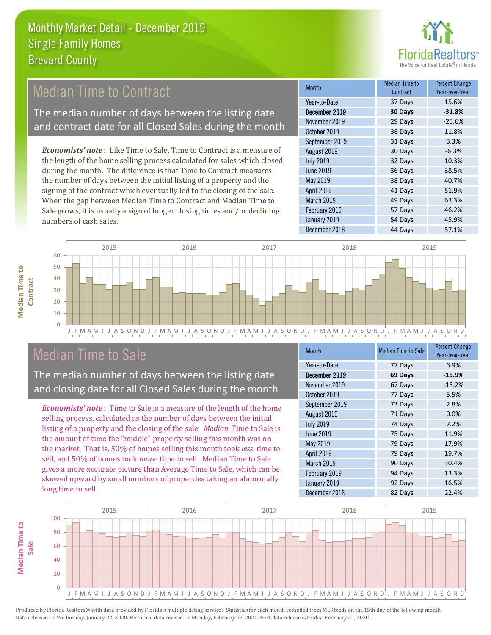

# Median Time to Contract

The median number of days between the listing date and contract date for all Closed Sales during the month

*Economists' note* : Like Time to Sale, Time to Contract is a measure of the length of the home selling process calculated for sales which closed during the month. The difference is that Time to Contract measures the number of days between the initial listing of a property and the signing of the contract which eventually led to the closing of the sale. When the gap between Median Time to Contract and Median Time to Sale grows, it is usually a sign of longer closing times and/or declining numbers of cash sales.

| Month            | <b>Median Time to</b><br>Contract | <b>Percent Change</b><br>Year-over-Year |
|------------------|-----------------------------------|-----------------------------------------|
| Year-to-Date     | 37 Days                           | 15.6%                                   |
| December 2019    | 30 Days                           | $-31.8%$                                |
| November 2019    | 29 Days                           | $-25.6%$                                |
| October 2019     | 38 Days                           | 11.8%                                   |
| September 2019   | 31 Days                           | 3.3%                                    |
| August 2019      | 30 Days                           | $-6.3%$                                 |
| <b>July 2019</b> | 32 Days                           | 10.3%                                   |
| <b>June 2019</b> | 36 Days                           | 38.5%                                   |
| May 2019         | 38 Days                           | 40.7%                                   |
| April 2019       | 41 Days                           | 51.9%                                   |
| March 2019       | 49 Days                           | 63.3%                                   |
| February 2019    | 57 Days                           | 46.2%                                   |
| January 2019     | 54 Days                           | 45.9%                                   |
| December 2018    | 44 Days                           | 57.1%                                   |



## Median Time to Sale

**Median Time to** 

**Median Time to** 

The median number of days between the listing date and closing date for all Closed Sales during the month

*Economists' note* : Time to Sale is a measure of the length of the home selling process, calculated as the number of days between the initial listing of a property and the closing of the sale. *Median* Time to Sale is the amount of time the "middle" property selling this month was on the market. That is, 50% of homes selling this month took *less* time to sell, and 50% of homes took *more* time to sell. Median Time to Sale gives a more accurate picture than Average Time to Sale, which can be skewed upward by small numbers of properties taking an abnormally long time to sell.

| <b>Month</b>      | <b>Median Time to Sale</b> | <b>Percent Change</b><br>Year-over-Year |
|-------------------|----------------------------|-----------------------------------------|
| Year-to-Date      | 77 Days                    | 6.9%                                    |
| December 2019     | 69 Days                    | $-15.9%$                                |
| November 2019     | 67 Days                    | $-15.2%$                                |
| October 2019      | 77 Days                    | 5.5%                                    |
| September 2019    | 73 Days                    | 2.8%                                    |
| August 2019       | 71 Days                    | 0.0%                                    |
| <b>July 2019</b>  | 74 Days                    | 7.2%                                    |
| June 2019         | 75 Days                    | 11.9%                                   |
| May 2019          | 79 Days                    | 17.9%                                   |
| <b>April 2019</b> | 79 Days                    | 19.7%                                   |
| March 2019        | 90 Days                    | 30.4%                                   |
| February 2019     | 94 Days                    | 13.3%                                   |
| January 2019      | 92 Days                    | 16.5%                                   |
| December 2018     | 82 Days                    | 22.4%                                   |

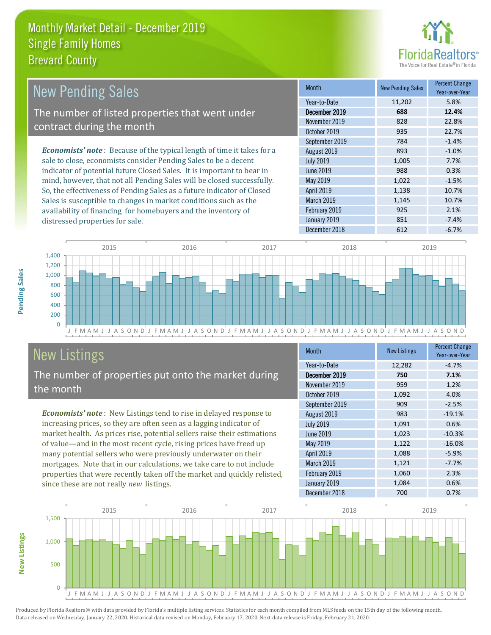

| New Pending Sales                                                              | <b>Month</b>      | <b>New Pending Sales</b> | <b>Percent Change</b><br>Year-over-Year |
|--------------------------------------------------------------------------------|-------------------|--------------------------|-----------------------------------------|
|                                                                                | Year-to-Date      | 11,202                   | 5.8%                                    |
| The number of listed properties that went under                                | December 2019     | 688                      | 12.4%                                   |
| contract during the month                                                      | November 2019     | 828                      | 22.8%                                   |
|                                                                                | October 2019      | 935                      | 22.7%                                   |
|                                                                                | September 2019    | 784                      | $-1.4%$                                 |
| <b>Economists' note</b> : Because of the typical length of time it takes for a | August 2019       | 893                      | $-1.0%$                                 |
| sale to close, economists consider Pending Sales to be a decent                | <b>July 2019</b>  | 1,005                    | 7.7%                                    |
| indicator of potential future Closed Sales. It is important to bear in         | June 2019         | 988                      | 0.3%                                    |
| mind, however, that not all Pending Sales will be closed successfully.         | May 2019          | 1,022                    | $-1.5%$                                 |
| So, the effectiveness of Pending Sales as a future indicator of Closed         | <b>April 2019</b> | 1,138                    | 10.7%                                   |
| Sales is susceptible to changes in market conditions such as the               | March 2019        | 1,145                    | 10.7%                                   |



# New Listings

distressed properties for sale.

The number of properties put onto the market during the month

availability of financing for homebuyers and the inventory of

*Economists' note* : New Listings tend to rise in delayed response to increasing prices, so they are often seen as a lagging indicator of market health. As prices rise, potential sellers raise their estimations of value—and in the most recent cycle, rising prices have freed up many potential sellers who were previously underwater on their mortgages. Note that in our calculations, we take care to not include properties that were recently taken off the market and quickly relisted, since these are not really *new* listings.

| <b>Month</b>     | <b>New Listings</b> | <b>Percent Change</b><br>Year-over-Year |
|------------------|---------------------|-----------------------------------------|
| Year-to-Date     | 12,282              | $-4.7%$                                 |
| December 2019    | 750                 | 7.1%                                    |
| November 2019    | 959                 | 1.2%                                    |
| October 2019     | 1,092               | 4.0%                                    |
| September 2019   | 909                 | $-2.5%$                                 |
| August 2019      | 983                 | $-19.1%$                                |
| <b>July 2019</b> | 1,091               | 0.6%                                    |
| <b>June 2019</b> | 1,023               | $-10.3%$                                |
| May 2019         | 1,122               | $-16.0%$                                |
| April 2019       | 1,088               | $-5.9%$                                 |
| March 2019       | 1,121               | $-7.7%$                                 |
| February 2019    | 1,060               | 2.3%                                    |
| January 2019     | 1,084               | 0.6%                                    |
| December 2018    | 700                 | 0.7%                                    |

February 2019 **925 2.1%** January 2019 **851** -7.4%



Produced by Florida Realtors® with data provided by Florida's multiple listing services. Statistics for each month compiled from MLS feeds on the 15th day of the following month. Data released on Wednesday, January 22, 2020. Historical data revised on Monday, February 17, 2020. Next data release is Friday, February 21, 2020.

**New Listings**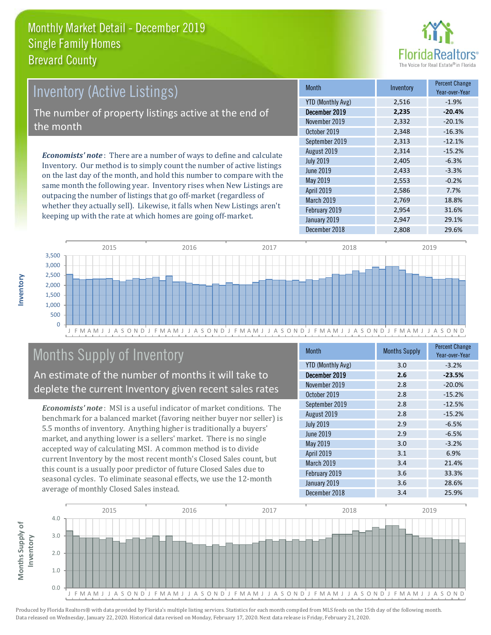

# Inventory (Active Listings) The number of property listings active at the end of

the month

*Economists' note* : There are a number of ways to define and calculate Inventory. Our method is to simply count the number of active listings on the last day of the month, and hold this number to compare with the same month the following year. Inventory rises when New Listings are outpacing the number of listings that go off-market (regardless of whether they actually sell). Likewise, it falls when New Listings aren't keeping up with the rate at which homes are going off-market.

| <b>Month</b>             | Inventory | <b>Percent Change</b><br>Year-over-Year |
|--------------------------|-----------|-----------------------------------------|
| <b>YTD (Monthly Avg)</b> | 2,516     | $-1.9%$                                 |
| December 2019            | 2,235     | $-20.4%$                                |
| November 2019            | 2,332     | $-20.1%$                                |
| October 2019             | 2,348     | $-16.3%$                                |
| September 2019           | 2,313     | $-12.1%$                                |
| August 2019              | 2,314     | $-15.2%$                                |
| <b>July 2019</b>         | 2,405     | $-6.3%$                                 |
| <b>June 2019</b>         | 2,433     | $-3.3%$                                 |
| May 2019                 | 2,553     | $-0.2%$                                 |
| April 2019               | 2,586     | 7.7%                                    |
| March 2019               | 2,769     | 18.8%                                   |
| February 2019            | 2,954     | 31.6%                                   |
| January 2019             | 2,947     | 29.1%                                   |
| December 2018            | 2,808     | 29.6%                                   |



# Months Supply of Inventory

An estimate of the number of months it will take to deplete the current Inventory given recent sales rates

*Economists' note* : MSI is a useful indicator of market conditions. The benchmark for a balanced market (favoring neither buyer nor seller) is 5.5 months of inventory. Anything higher is traditionally a buyers' market, and anything lower is a sellers' market. There is no single accepted way of calculating MSI. A common method is to divide current Inventory by the most recent month's Closed Sales count, but this count is a usually poor predictor of future Closed Sales due to seasonal cycles. To eliminate seasonal effects, we use the 12-month average of monthly Closed Sales instead.

| <b>Month</b>             | <b>Months Supply</b> | <b>Percent Change</b><br>Year-over-Year |
|--------------------------|----------------------|-----------------------------------------|
| <b>YTD (Monthly Avg)</b> | 3.0                  | $-3.2%$                                 |
| December 2019            | 2.6                  | $-23.5%$                                |
| November 2019            | 2.8                  | $-20.0%$                                |
| October 2019             | 2.8                  | $-15.2%$                                |
| September 2019           | 2.8                  | $-12.5%$                                |
| August 2019              | 2.8                  | $-15.2%$                                |
| <b>July 2019</b>         | 2.9                  | $-6.5%$                                 |
| <b>June 2019</b>         | 2.9                  | $-6.5%$                                 |
| May 2019                 | 3.0                  | $-3.2%$                                 |
| <b>April 2019</b>        | 3.1                  | 6.9%                                    |
| March 2019               | 3.4                  | 21.4%                                   |
| February 2019            | 3.6                  | 33.3%                                   |
| January 2019             | 3.6                  | 28.6%                                   |
| December 2018            | 3.4                  | 25.9%                                   |

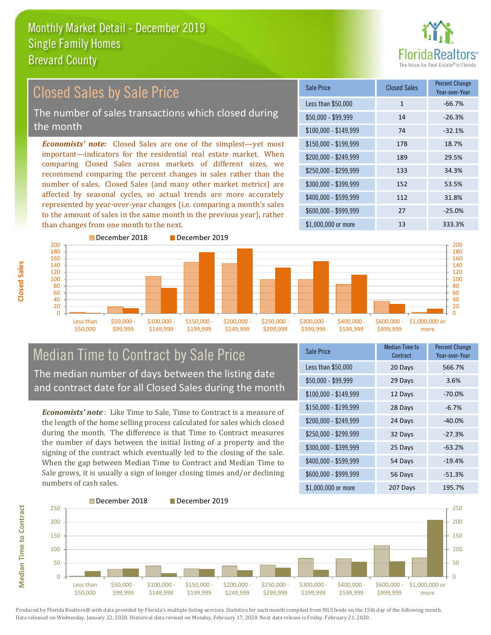

#### *Economists' note:* Closed Sales are one of the simplest—yet most important—indicators for the residential real estate market. When comparing Closed Sales across markets of different sizes, we recommend comparing the percent changes in sales rather than the number of sales. Closed Sales (and many other market metrics) are affected by seasonal cycles, so actual trends are more accurately represented by year-over-year changes (i.e. comparing a month's sales to the amount of sales in the same month in the previous year), rather than changes from one month to the next. \$1,000,000 or more 13 13 333.3% \$250,000 - \$299,999 133 34.3% \$300,000 - \$399,999 152 53.5% \$400,000 - \$599,999 112 31.8% \$600,000 - \$999,999 27 -25.0% \$150,000 - \$199,999 178 18.7% \$200,000 - \$249,999 189 29.5%  $$100,000 - $149,999$  74 -32.1% Sale Price Closed Sales Percent Change Year-over-Year Less than \$50,000 1 1 -66.7%  $$50.000 - $99.999$  14 -26.3% December 2018 December 2019 Closed Sales by Sale Price The number of sales transactions which closed during the month



### Median Time to Contract by Sale Price The median number of days between the listing date and contract date for all Closed Sales during the month

*Economists' note* : Like Time to Sale, Time to Contract is a measure of the length of the home selling process calculated for sales which closed during the month. The difference is that Time to Contract measures the number of days between the initial listing of a property and the signing of the contract which eventually led to the closing of the sale. When the gap between Median Time to Contract and Median Time to Sale grows, it is usually a sign of longer closing times and/or declining numbers of cash sales.

| <b>Sale Price</b>     | <b>Median Time to</b><br>Contract | <b>Percent Change</b><br>Year-over-Year |
|-----------------------|-----------------------------------|-----------------------------------------|
| Less than \$50,000    | 20 Days                           | 566.7%                                  |
| $$50,000 - $99,999$   | 29 Days                           | 3.6%                                    |
| $$100,000 - $149,999$ | 12 Days                           | $-70.0\%$                               |
| $$150,000 - $199,999$ | 28 Days                           | $-6.7%$                                 |
| \$200,000 - \$249,999 | 24 Days                           | $-40.0\%$                               |
| \$250,000 - \$299,999 | 32 Days                           | $-27.3%$                                |
| \$300,000 - \$399,999 | 25 Days                           | $-63.2%$                                |
| \$400,000 - \$599,999 | 54 Days                           | $-19.4%$                                |
| \$600,000 - \$999,999 | 56 Days                           | $-51.3%$                                |
| \$1,000,000 or more   | 207 Days                          | 195.7%                                  |



**Closed Sales**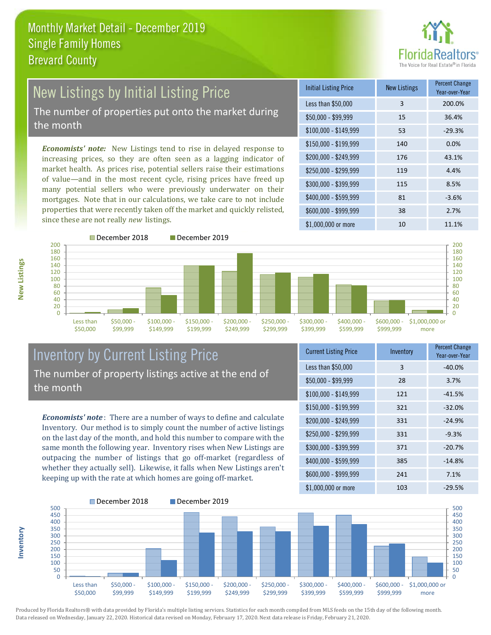

# New Listings by Initial Listing Price The number of properties put onto the market during

the month

*Economists' note:* New Listings tend to rise in delayed response to increasing prices, so they are often seen as a lagging indicator of market health. As prices rise, potential sellers raise their estimations of value—and in the most recent cycle, rising prices have freed up many potential sellers who were previously underwater on their mortgages. Note that in our calculations, we take care to not include properties that were recently taken off the market and quickly relisted, since these are not really *new* listings.

| <b>Initial Listing Price</b> | <b>New Listings</b> | <b>Percent Change</b><br>Year-over-Year |
|------------------------------|---------------------|-----------------------------------------|
| Less than \$50,000           | 3                   | 200.0%                                  |
| $$50,000 - $99,999$          | 15                  | 36.4%                                   |
| $$100,000 - $149,999$        | 53                  | $-29.3%$                                |
| $$150,000 - $199,999$        | 140                 | 0.0%                                    |
| \$200,000 - \$249,999        | 176                 | 43.1%                                   |
| \$250,000 - \$299,999        | 119                 | 4.4%                                    |
| \$300,000 - \$399,999        | 115                 | 8.5%                                    |
| \$400,000 - \$599,999        | 81                  | $-3.6%$                                 |
| \$600,000 - \$999,999        | 38                  | 2.7%                                    |
| \$1,000,000 or more          | 10                  | 11.1%                                   |



**Inventory**



### Inventory by Current Listing Price The number of property listings active at the end of the month

*Economists' note* : There are a number of ways to define and calculate Inventory. Our method is to simply count the number of active listings on the last day of the month, and hold this number to compare with the same month the following year. Inventory rises when New Listings are outpacing the number of listings that go off-market (regardless of whether they actually sell). Likewise, it falls when New Listings aren't keeping up with the rate at which homes are going off-market.

| <b>Current Listing Price</b> | Inventory | Percent Change<br>Year-over-Year |
|------------------------------|-----------|----------------------------------|
| Less than \$50,000           | 3         | $-40.0%$                         |
| $$50,000 - $99,999$          | 28        | 3.7%                             |
| $$100,000 - $149,999$        | 121       | $-41.5%$                         |
| $$150,000 - $199,999$        | 321       | $-32.0%$                         |
| \$200,000 - \$249,999        | 331       | $-24.9%$                         |
| \$250,000 - \$299,999        | 331       | $-9.3%$                          |
| \$300,000 - \$399,999        | 371       | $-20.7%$                         |
| \$400,000 - \$599,999        | 385       | $-14.8%$                         |
| \$600,000 - \$999,999        | 241       | 7.1%                             |
| \$1,000,000 or more          | 103       | $-29.5%$                         |